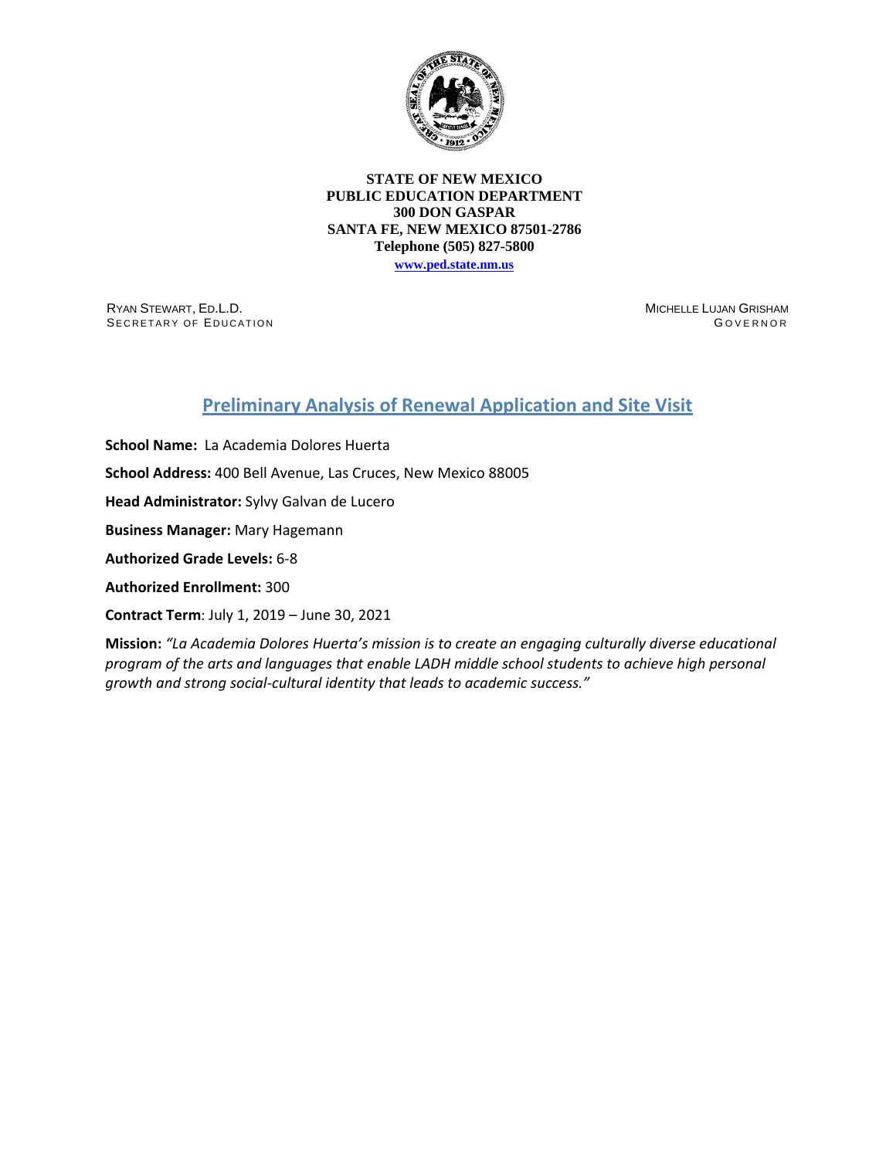

## **STATE OF NEW MEXICO PUBLIC EDUCATION DEPARTMENT 300 DON GASPAR SANTA FE, NEW MEXICO 87501-2786 Telephone (505) 827-5800**

**[www.ped.state.nm.us](http://webnew.ped.state.nm.us/)**

RYAN STEWART, ED.L.D. SECRETARY OF EDUCATION MICHELLE LUJAN GRISHAM G OVERNOR

## **Preliminary Analysis of Renewal Application and Site Visit**

**School Name:** La Academia Dolores Huerta **School Address:** 400 Bell Avenue, Las Cruces, New Mexico 88005 **Head Administrator:** Sylvy Galvan de Lucero **Business Manager:** Mary Hagemann **Authorized Grade Levels:** 6-8 **Authorized Enrollment:** 300 **Contract Term**: July 1, 2019 – June 30, 2021

**Mission:** *"La Academia Dolores Huerta's mission is to create an engaging culturally diverse educational program of the arts and languages that enable LADH middle school students to achieve high personal growth and strong social-cultural identity that leads to academic success."*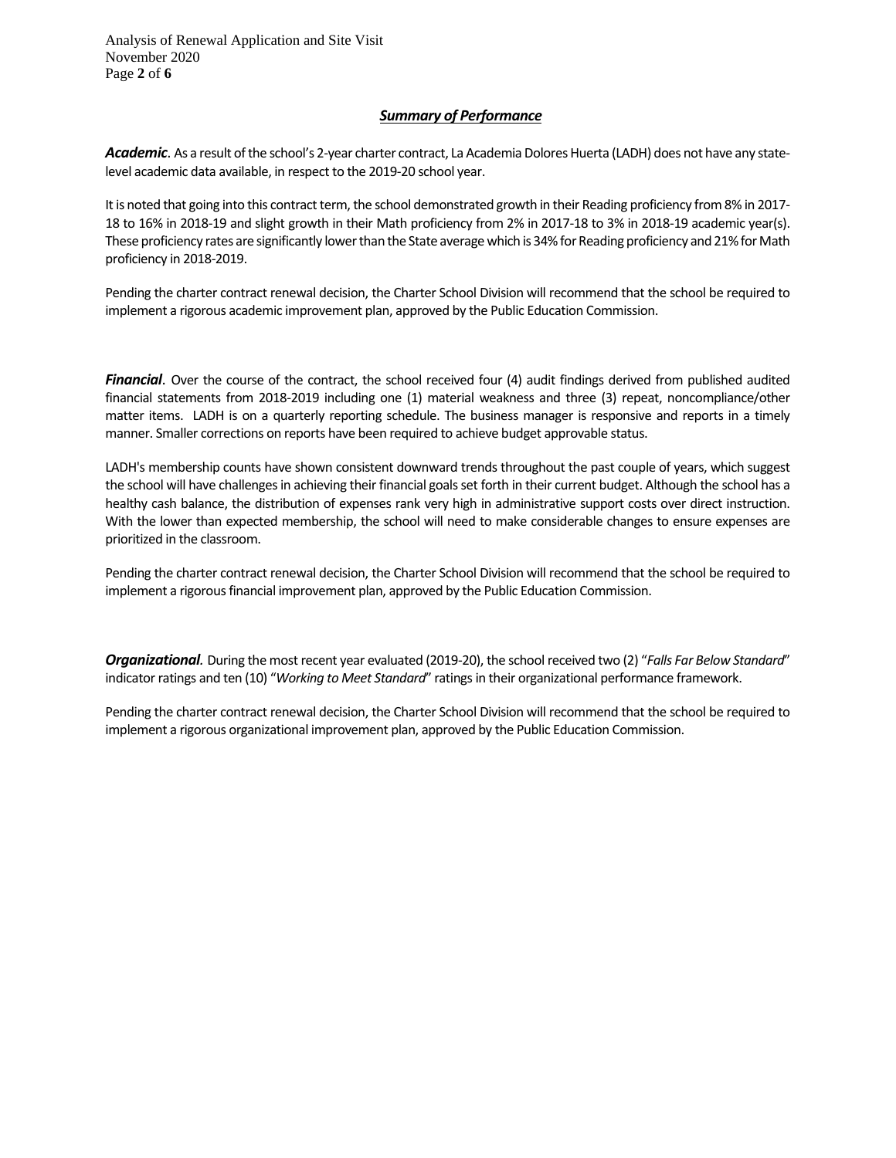Analysis of Renewal Application and Site Visit November 2020 Page **2** of **6**

## *Summary of Performance*

*Academic*. As a result of the school's 2-year charter contract, La Academia Dolores Huerta (LADH) does not have any statelevel academic data available, in respect to the 2019-20 school year.

It is noted that going into this contract term, the school demonstrated growth in their Reading proficiency from 8% in 2017-18 to 16% in 2018-19 and slight growth in their Math proficiency from 2% in 2017-18 to 3% in 2018-19 academic year(s). These proficiency rates are significantly lower than the State average which is 34% for Reading proficiency and 21% for Math proficiency in 2018-2019.

Pending the charter contract renewal decision, the Charter School Division will recommend that the school be required to implement a rigorous academic improvement plan, approved by the Public Education Commission.

*Financial*. Over the course of the contract, the school received four (4) audit findings derived from published audited financial statements from 2018-2019 including one (1) material weakness and three (3) repeat, noncompliance/other matter items. LADH is on a quarterly reporting schedule. The business manager is responsive and reports in a timely manner. Smaller corrections on reports have been required to achieve budget approvable status.

LADH's membership counts have shown consistent downward trends throughout the past couple of years, which suggest the school will have challenges in achieving their financial goals set forth in their current budget. Although the school has a healthy cash balance, the distribution of expenses rank very high in administrative support costs over direct instruction. With the lower than expected membership, the school will need to make considerable changes to ensure expenses are prioritized in the classroom.

Pending the charter contract renewal decision, the Charter School Division will recommend that the school be required to implement a rigorous financial improvement plan, approved by the Public Education Commission.

*Organizational.* During the most recent year evaluated (2019-20), the school received two (2) "*Falls Far Below Standard*" indicator ratings and ten (10) "*Working to Meet Standard*" ratingsin their organizational performance framework.

Pending the charter contract renewal decision, the Charter School Division will recommend that the school be required to implement a rigorous organizational improvement plan, approved by the Public Education Commission.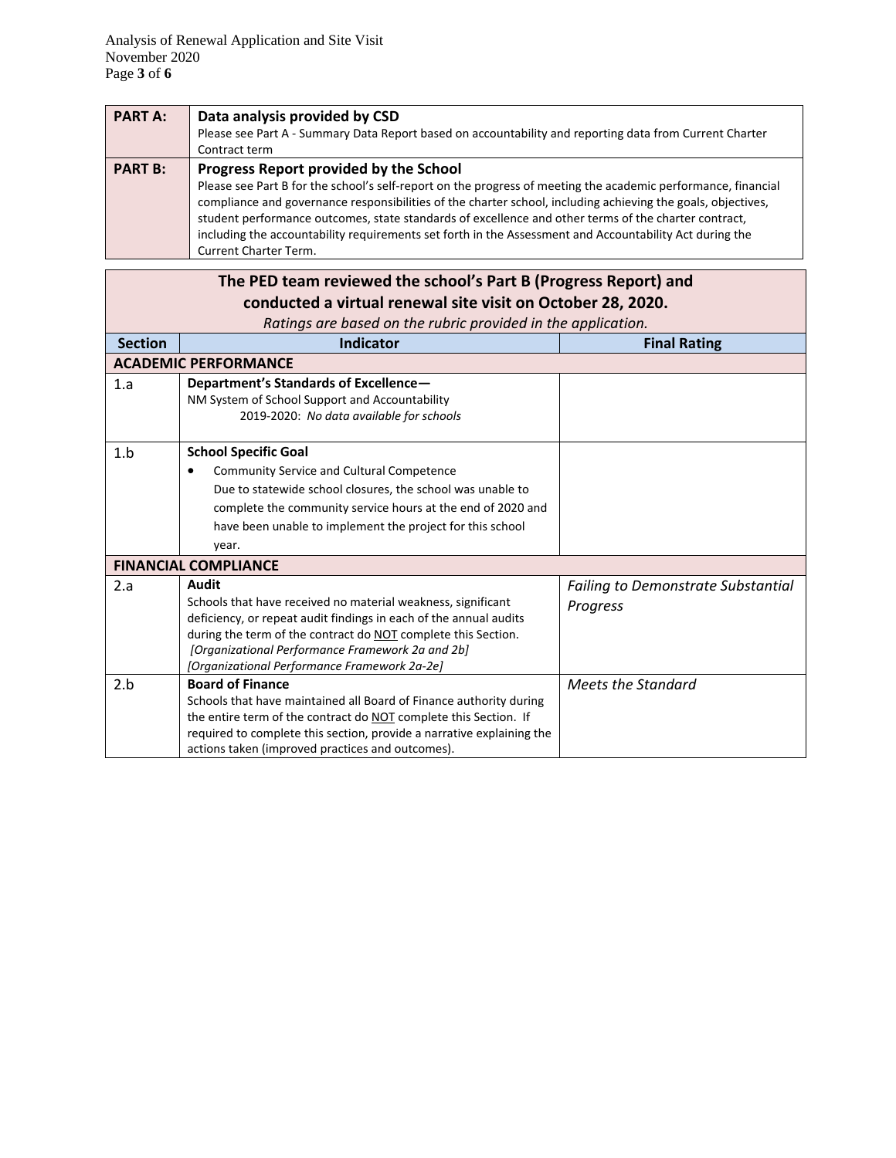| <b>PART A:</b> | Data analysis provided by CSD                                                                                 |
|----------------|---------------------------------------------------------------------------------------------------------------|
|                | Please see Part A - Summary Data Report based on accountability and reporting data from Current Charter       |
|                | Contract term                                                                                                 |
| <b>PART B:</b> | Progress Report provided by the School                                                                        |
|                | Please see Part B for the school's self-report on the progress of meeting the academic performance, financial |
|                | compliance and governance responsibilities of the charter school, including achieving the goals, objectives,  |
|                | student performance outcomes, state standards of excellence and other terms of the charter contract,          |
|                | including the accountability requirements set forth in the Assessment and Accountability Act during the       |
|                | <b>Current Charter Term.</b>                                                                                  |

| The PED team reviewed the school's Part B (Progress Report) and |                                                                                                  |                                           |  |  |  |
|-----------------------------------------------------------------|--------------------------------------------------------------------------------------------------|-------------------------------------------|--|--|--|
| conducted a virtual renewal site visit on October 28, 2020.     |                                                                                                  |                                           |  |  |  |
|                                                                 | Ratings are based on the rubric provided in the application.                                     |                                           |  |  |  |
| <b>Section</b>                                                  | <b>Indicator</b>                                                                                 | <b>Final Rating</b>                       |  |  |  |
|                                                                 | <b>ACADEMIC PERFORMANCE</b>                                                                      |                                           |  |  |  |
| 1.a                                                             | Department's Standards of Excellence-                                                            |                                           |  |  |  |
|                                                                 | NM System of School Support and Accountability                                                   |                                           |  |  |  |
|                                                                 | 2019-2020: No data available for schools                                                         |                                           |  |  |  |
| 1.b                                                             | <b>School Specific Goal</b>                                                                      |                                           |  |  |  |
|                                                                 | <b>Community Service and Cultural Competence</b>                                                 |                                           |  |  |  |
|                                                                 | Due to statewide school closures, the school was unable to                                       |                                           |  |  |  |
|                                                                 | complete the community service hours at the end of 2020 and                                      |                                           |  |  |  |
|                                                                 | have been unable to implement the project for this school                                        |                                           |  |  |  |
|                                                                 | year.                                                                                            |                                           |  |  |  |
|                                                                 | <b>FINANCIAL COMPLIANCE</b>                                                                      |                                           |  |  |  |
| 2.a                                                             | Audit                                                                                            | <b>Failing to Demonstrate Substantial</b> |  |  |  |
|                                                                 | Schools that have received no material weakness, significant                                     | Progress                                  |  |  |  |
|                                                                 | deficiency, or repeat audit findings in each of the annual audits                                |                                           |  |  |  |
|                                                                 | during the term of the contract do NOT complete this Section.                                    |                                           |  |  |  |
|                                                                 | [Organizational Performance Framework 2a and 2b]<br>[Organizational Performance Framework 2a-2e] |                                           |  |  |  |
| 2.b                                                             | <b>Board of Finance</b>                                                                          | Meets the Standard                        |  |  |  |
|                                                                 | Schools that have maintained all Board of Finance authority during                               |                                           |  |  |  |
|                                                                 | the entire term of the contract do NOT complete this Section. If                                 |                                           |  |  |  |
|                                                                 | required to complete this section, provide a narrative explaining the                            |                                           |  |  |  |
|                                                                 | actions taken (improved practices and outcomes).                                                 |                                           |  |  |  |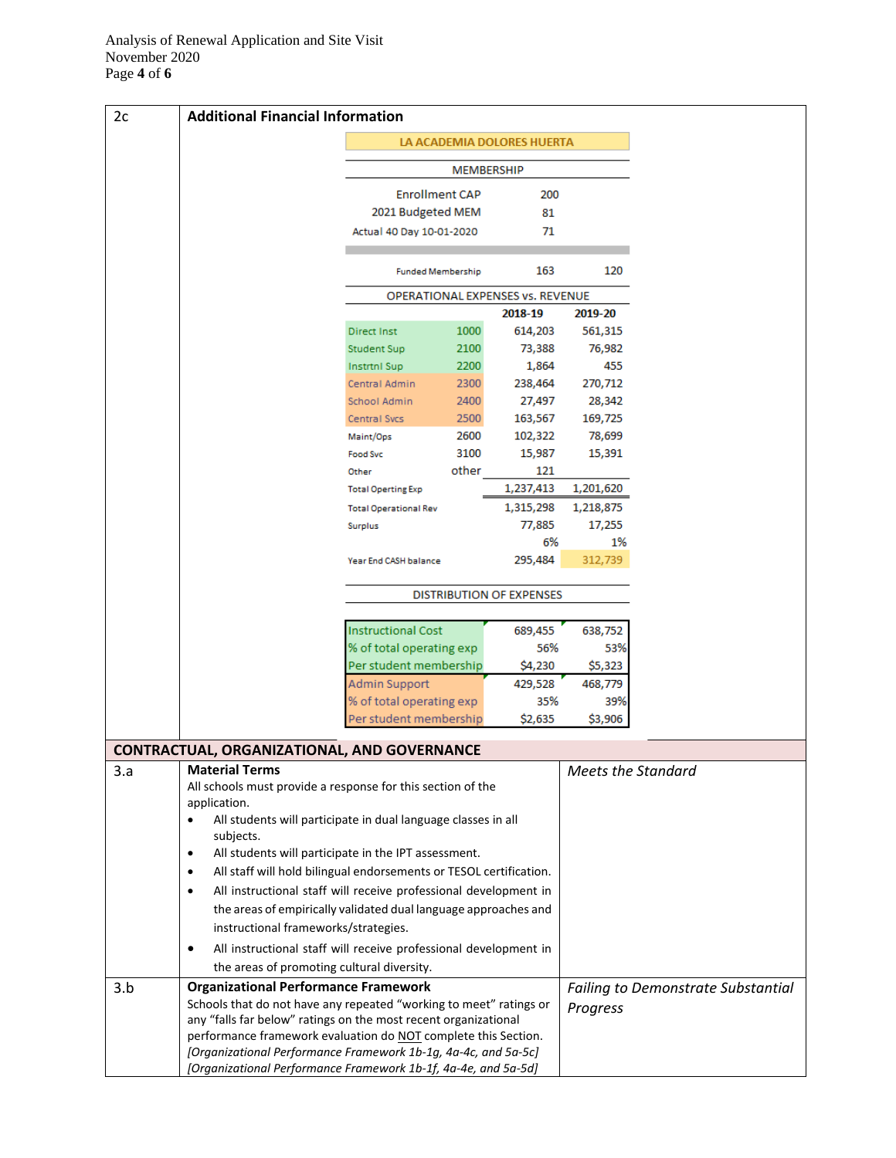| 2c  | <b>Additional Financial Information</b>                                                                                                             |                                 |       |                                             |                           |                                           |
|-----|-----------------------------------------------------------------------------------------------------------------------------------------------------|---------------------------------|-------|---------------------------------------------|---------------------------|-------------------------------------------|
|     | LA ACADEMIA DOLORES HUERTA                                                                                                                          |                                 |       |                                             |                           |                                           |
|     | MEMBERSHIP                                                                                                                                          |                                 |       |                                             |                           |                                           |
|     |                                                                                                                                                     | <b>Enrollment CAP</b>           |       | 200                                         |                           |                                           |
|     |                                                                                                                                                     | 2021 Budgeted MEM               |       | 81                                          |                           |                                           |
|     |                                                                                                                                                     | Actual 40 Day 10-01-2020        |       | 71                                          |                           |                                           |
|     |                                                                                                                                                     |                                 |       |                                             |                           |                                           |
|     |                                                                                                                                                     | <b>Funded Membership</b>        |       | 163                                         | 120                       |                                           |
|     |                                                                                                                                                     |                                 |       | OPERATIONAL EXPENSES vs. REVENUE<br>2018-19 | 2019-20                   |                                           |
|     |                                                                                                                                                     | <b>Direct Inst</b>              | 1000  | 614,203                                     | 561,315                   |                                           |
|     |                                                                                                                                                     | <b>Student Sup</b>              | 2100  | 73,388                                      | 76,982                    |                                           |
|     |                                                                                                                                                     | <b>Instrtnl Sup</b>             | 2200  | 1,864                                       | 455                       |                                           |
|     |                                                                                                                                                     | Central Admin                   | 2300  | 238,464                                     | 270,712                   |                                           |
|     |                                                                                                                                                     | School Admin                    | 2400  | 27,497                                      | 28,342                    |                                           |
|     |                                                                                                                                                     | <b>Central Svcs</b>             | 2500  | 163,567                                     | 169,725                   |                                           |
|     |                                                                                                                                                     | Maint/Ops                       | 2600  | 102,322                                     | 78,699                    |                                           |
|     |                                                                                                                                                     | <b>Food Svc</b>                 | 3100  | 15,987                                      | 15,391                    |                                           |
|     |                                                                                                                                                     | Other                           | other | 121                                         |                           |                                           |
|     |                                                                                                                                                     | <b>Total Operting Exp</b>       |       | 1,237,413                                   | 1,201,620                 |                                           |
|     |                                                                                                                                                     | <b>Total Operational Rev</b>    |       | 1,315,298                                   | 1,218,875                 |                                           |
|     |                                                                                                                                                     | Surplus                         |       | 77,885                                      | 17,255                    |                                           |
|     |                                                                                                                                                     |                                 |       | 6%                                          | 1%                        |                                           |
|     |                                                                                                                                                     | Year End CASH balance           |       | 295,484                                     | 312,739                   |                                           |
|     |                                                                                                                                                     | <b>DISTRIBUTION OF EXPENSES</b> |       |                                             |                           |                                           |
|     |                                                                                                                                                     | <b>Instructional Cost</b>       |       | 689,455                                     | 638,752                   |                                           |
|     |                                                                                                                                                     | % of total operating exp        |       | 56%                                         | 53%                       |                                           |
|     |                                                                                                                                                     | Per student membership          |       | \$4,230                                     | \$5,323                   |                                           |
|     |                                                                                                                                                     | Admin Support                   |       | 429,528                                     | 468,779                   |                                           |
|     |                                                                                                                                                     | % of total operating exp        |       | 35%                                         | 39%                       |                                           |
|     |                                                                                                                                                     | Per student membership          |       | \$2,635                                     | \$3,906                   |                                           |
|     | <b>CONTRACTUAL, ORGANIZATIONAL, AND GOVERNANCE</b>                                                                                                  |                                 |       |                                             |                           |                                           |
| 3.a | <b>Material Terms</b>                                                                                                                               |                                 |       |                                             | <b>Meets the Standard</b> |                                           |
|     | All schools must provide a response for this section of the                                                                                         |                                 |       |                                             |                           |                                           |
|     | application.<br>All students will participate in dual language classes in all<br>$\bullet$                                                          |                                 |       |                                             |                           |                                           |
|     | subjects.                                                                                                                                           |                                 |       |                                             |                           |                                           |
|     | All students will participate in the IPT assessment.<br>$\bullet$                                                                                   |                                 |       |                                             |                           |                                           |
|     | All staff will hold bilingual endorsements or TESOL certification.<br>$\bullet$<br>All instructional staff will receive professional development in |                                 |       |                                             |                           |                                           |
|     | $\bullet$                                                                                                                                           |                                 |       |                                             |                           |                                           |
|     | the areas of empirically validated dual language approaches and                                                                                     |                                 |       |                                             |                           |                                           |
|     | instructional frameworks/strategies.                                                                                                                |                                 |       |                                             |                           |                                           |
|     | All instructional staff will receive professional development in<br>٠                                                                               |                                 |       |                                             |                           |                                           |
|     | the areas of promoting cultural diversity.<br><b>Organizational Performance Framework</b>                                                           |                                 |       |                                             |                           |                                           |
| 3.b | Schools that do not have any repeated "working to meet" ratings or                                                                                  |                                 |       |                                             |                           | <b>Failing to Demonstrate Substantial</b> |
|     | any "falls far below" ratings on the most recent organizational                                                                                     |                                 |       |                                             | Progress                  |                                           |
|     | performance framework evaluation do NOT complete this Section.                                                                                      |                                 |       |                                             |                           |                                           |
|     | [Organizational Performance Framework 1b-1g, 4a-4c, and 5a-5c]                                                                                      |                                 |       |                                             |                           |                                           |
|     | [Organizational Performance Framework 1b-1f, 4a-4e, and 5a-5d]                                                                                      |                                 |       |                                             |                           |                                           |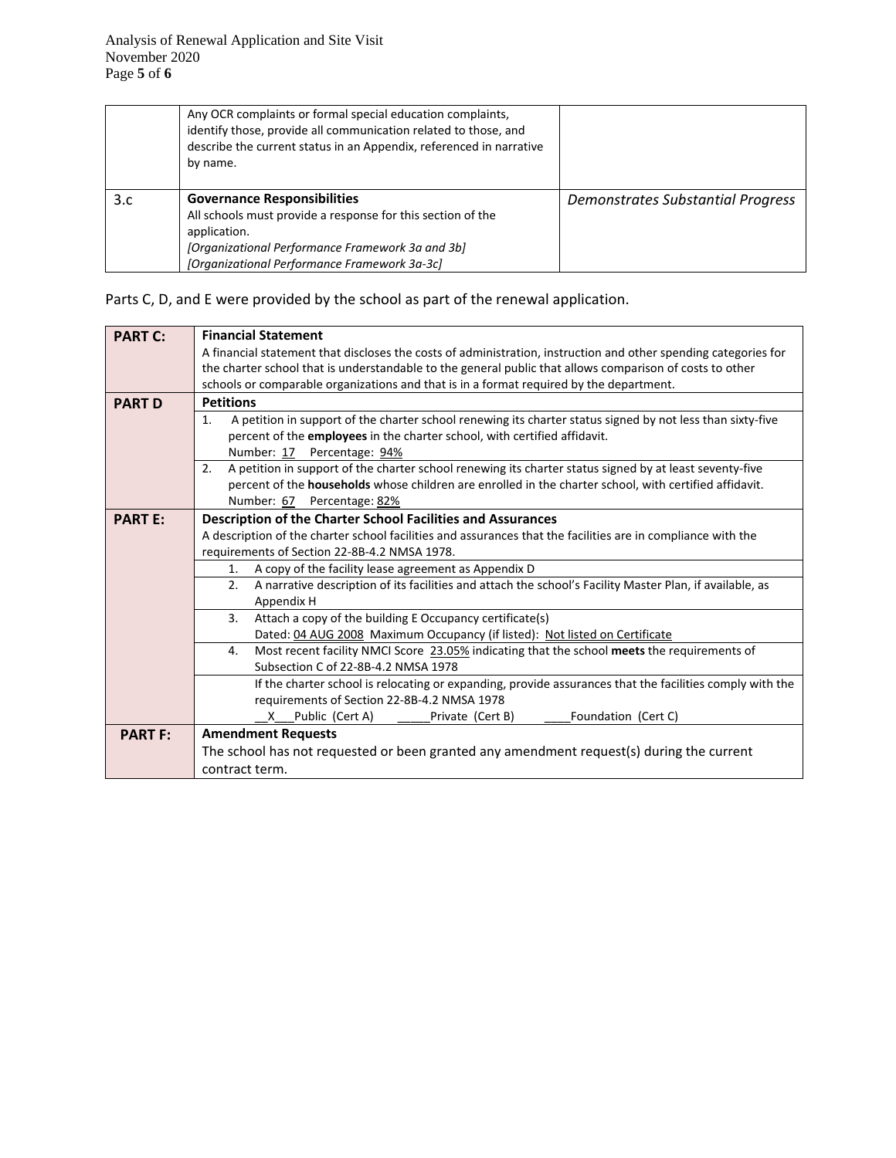|     | Any OCR complaints or formal special education complaints,<br>identify those, provide all communication related to those, and<br>describe the current status in an Appendix, referenced in narrative<br>by name.      |                                          |
|-----|-----------------------------------------------------------------------------------------------------------------------------------------------------------------------------------------------------------------------|------------------------------------------|
| 3.c | <b>Governance Responsibilities</b><br>All schools must provide a response for this section of the<br>application.<br>[Organizational Performance Framework 3a and 3b]<br>[Organizational Performance Framework 3a-3c] | <b>Demonstrates Substantial Progress</b> |

Parts C, D, and E were provided by the school as part of the renewal application.

| <b>PART C:</b> | <b>Financial Statement</b>                                                                                                   |  |  |  |  |  |
|----------------|------------------------------------------------------------------------------------------------------------------------------|--|--|--|--|--|
|                | A financial statement that discloses the costs of administration, instruction and other spending categories for              |  |  |  |  |  |
|                | the charter school that is understandable to the general public that allows comparison of costs to other                     |  |  |  |  |  |
|                | schools or comparable organizations and that is in a format required by the department.                                      |  |  |  |  |  |
| <b>PART D</b>  | <b>Petitions</b>                                                                                                             |  |  |  |  |  |
|                | A petition in support of the charter school renewing its charter status signed by not less than sixty-five<br>$\mathbf{1}$ . |  |  |  |  |  |
|                | percent of the employees in the charter school, with certified affidavit.                                                    |  |  |  |  |  |
|                | Number: 17 Percentage: 94%                                                                                                   |  |  |  |  |  |
|                | A petition in support of the charter school renewing its charter status signed by at least seventy-five<br>2.                |  |  |  |  |  |
|                | percent of the households whose children are enrolled in the charter school, with certified affidavit.                       |  |  |  |  |  |
|                | Number: 67 Percentage: 82%                                                                                                   |  |  |  |  |  |
| <b>PART E:</b> | Description of the Charter School Facilities and Assurances                                                                  |  |  |  |  |  |
|                | A description of the charter school facilities and assurances that the facilities are in compliance with the                 |  |  |  |  |  |
|                | requirements of Section 22-8B-4.2 NMSA 1978.                                                                                 |  |  |  |  |  |
|                | A copy of the facility lease agreement as Appendix D<br>1.                                                                   |  |  |  |  |  |
|                | A narrative description of its facilities and attach the school's Facility Master Plan, if available, as<br>2.               |  |  |  |  |  |
|                | Appendix H                                                                                                                   |  |  |  |  |  |
|                | Attach a copy of the building E Occupancy certificate(s)<br>3.                                                               |  |  |  |  |  |
|                | Dated: 04 AUG 2008 Maximum Occupancy (if listed): Not listed on Certificate                                                  |  |  |  |  |  |
|                | Most recent facility NMCI Score 23.05% indicating that the school meets the requirements of<br>4.                            |  |  |  |  |  |
|                | Subsection C of 22-8B-4.2 NMSA 1978                                                                                          |  |  |  |  |  |
|                | If the charter school is relocating or expanding, provide assurances that the facilities comply with the                     |  |  |  |  |  |
|                | requirements of Section 22-8B-4.2 NMSA 1978                                                                                  |  |  |  |  |  |
|                | Public (Cert A)<br>Private (Cert B)<br>Foundation (Cert C)<br>X.                                                             |  |  |  |  |  |
| <b>PART F:</b> | <b>Amendment Requests</b>                                                                                                    |  |  |  |  |  |
|                | The school has not requested or been granted any amendment request(s) during the current                                     |  |  |  |  |  |
|                | contract term.                                                                                                               |  |  |  |  |  |